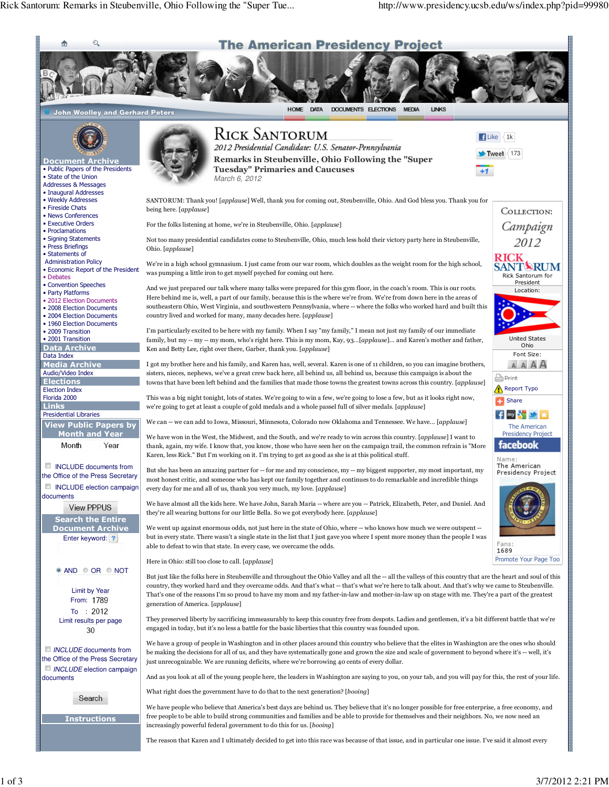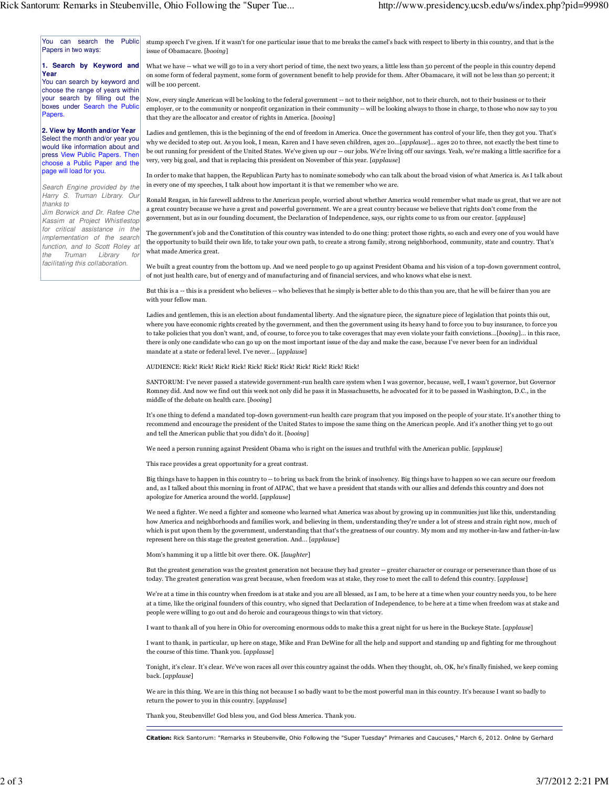You can search the Public Papers in two ways:

## **1. Search by Keyword and Year**

You can search by keyword and choose the range of years within your search by filling out the boxes under Search the Public **Papers** 

**2. View by Month and/or Year** Select the month and/or year you would like information about and press View Public Papers. Then choose a Public Paper and the page will load for you.

Search Engine provided by the Harry S. Truman Library. Our thanks to

Jim Borwick and Dr. Rafee Che Kassim at Project Whistlestop for critical assistance in the implementation of the search function, and to Scott Roley at the Truman Library for facilitating this collaboration.

stump speech I've given. If it wasn't for one particular issue that to me breaks the camel's back with respect to liberty in this country, and that is the issue of Obamacare. [booing]

What we have -- what we will go to in a very short period of time, the next two years, a little less than 50 percent of the people in this country depend on some form of federal payment, some form of government benefit to help provide for them. After Obamacare, it will not be less than 50 percent; it will be 100 percent.

Now, every single American will be looking to the federal government -- not to their neighbor, not to their church, not to their business or to their employer, or to the community or nonprofit organization in their community -- will be looking always to those in charge, to those who now say to you that they are the allocator and creator of rights in America. [booing]

Ladies and gentlemen, this is the beginning of the end of freedom in America. Once the government has control of your life, then they got you. That's why we decided to step out. As you look, I mean, Karen and I have seven children, ages 20...[applause]... ages 20 to three, not exactly the best time to be out running for president of the United States. We've given up our -- our jobs. We're living off our savings. Yeah, we're making a little sacrifice for a very, very big goal, and that is replacing this president on November of this year. [applause]

In order to make that happen, the Republican Party has to nominate somebody who can talk about the broad vision of what America is. As I talk about in every one of my speeches, I talk about how important it is that we remember who we are.

Ronald Reagan, in his farewell address to the American people, worried about whether America would remember what made us great, that we are not a great country because we have a great and powerful government. We are a great country because we believe that rights don't come from the government, but as in our founding document, the Declaration of Independence, says, our rights come to us from our creator. [applause]

The government's job and the Constitution of this country was intended to do one thing: protect those rights, so each and every one of you would have the opportunity to build their own life, to take your own path, to create a strong family, strong neighborhood, community, state and country. That's what made America great.

We built a great country from the bottom up. And we need people to go up against President Obama and his vision of a top-down government control, of not just health care, but of energy and of manufacturing and of financial services, and who knows what else is next.

But this is a -- this is a president who believes -- who believes that he simply is better able to do this than you are, that he will be fairer than you are with your fellow man.

Ladies and gentlemen, this is an election about fundamental liberty. And the signature piece, the signature piece of legislation that points this out, where you have economic rights created by the government, and then the government using its heavy hand to force you to buy insurance, to force you to take policies that you don't want, and, of course, to force you to take coverages that may even violate your faith convictions...[booing]... in this race, there is only one candidate who can go up on the most important issue of the day and make the case, because I've never been for an individual mandate at a state or federal level. I've never... [applause]

AUDIENCE: Rick! Rick! Rick! Rick! Rick! Rick! Rick! Rick! Rick! Rick! Rick!

SANTORUM: I've never passed a statewide government-run health care system when I was governor, because, well, I wasn't governor, but Governor Romney did. And now we find out this week not only did he pass it in Massachusetts, he advocated for it to be passed in Washington, D.C., in the middle of the debate on health care. [booing]

It's one thing to defend a mandated top-down government-run health care program that you imposed on the people of your state. It's another thing to recommend and encourage the president of the United States to impose the same thing on the American people. And it's another thing yet to go out and tell the American public that you didn't do it. [booing]

We need a person running against President Obama who is right on the issues and truthful with the American public. [applause]

This race provides a great opportunity for a great contrast.

Big things have to happen in this country to -- to bring us back from the brink of insolvency. Big things have to happen so we can secure our freedom and, as I talked about this morning in front of AIPAC, that we have a president that stands with our allies and defends this country and does not apologize for America around the world. [applause]

We need a fighter. We need a fighter and someone who learned what America was about by growing up in communities just like this, understanding how America and neighborhoods and families work, and believing in them, understanding they're under a lot of stress and strain right now, much of which is put upon them by the government, understanding that that's the greatness of our country. My mom and my mother-in-law and father-in-law represent here on this stage the greatest generation. And... [applause]

Mom's hamming it up a little bit over there. OK. [laughter]

But the greatest generation was the greatest generation not because they had greater -- greater character or courage or perseverance than those of us today. The greatest generation was great because, when freedom was at stake, they rose to meet the call to defend this country. [applause]

We're at a time in this country when freedom is at stake and you are all blessed, as I am, to be here at a time when your country needs you, to be here at a time, like the original founders of this country, who signed that Declaration of Independence, to be here at a time when freedom was at stake and people were willing to go out and do heroic and courageous things to win that victory.

I want to thank all of you here in Ohio for overcoming enormous odds to make this a great night for us here in the Buckeye State. [*applause*]

I want to thank, in particular, up here on stage, Mike and Fran DeWine for all the help and support and standing up and fighting for me throughout the course of this time. Thank you. [applause]

Tonight, it's clear. It's clear. We've won races all over this country against the odds. When they thought, oh, OK, he's finally finished, we keep coming back. [applause]

We are in this thing. We are in this thing not because I so badly want to be the most powerful man in this country. It's because I want so badly to return the power to you in this country. [applause]

Thank you, Steubenville! God bless you, and God bless America. Thank you.

Citation: Rick Santorum: "Remarks in Steubenville, Ohio Following the "Super Tuesday" Primaries and Caucuses," March 6, 2012. Online by Gerhard